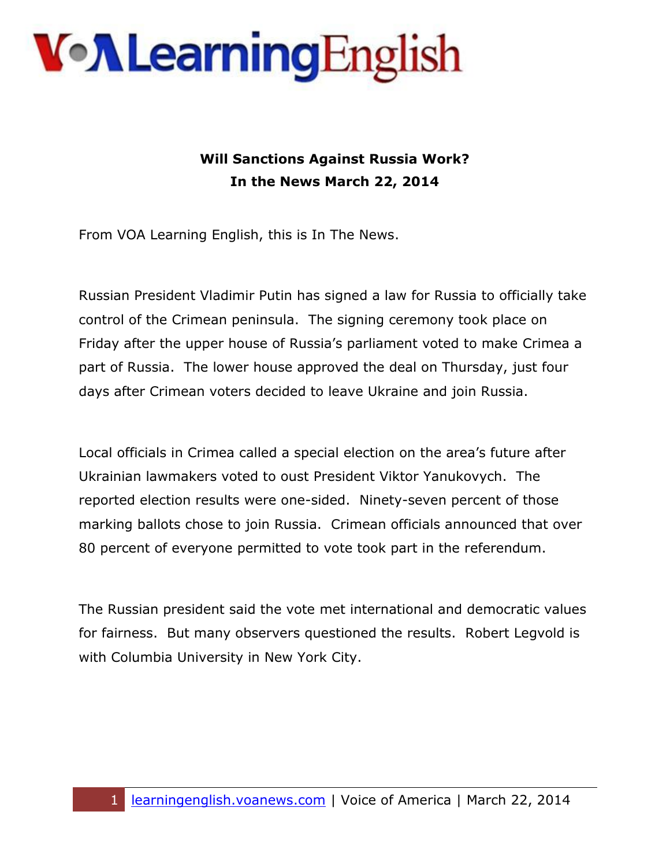## **Von Learning English**

### **Will Sanctions Against Russia Work? In the News March 22, 2014**

From VOA Learning English, this is In The News.

Russian President Vladimir Putin has signed a law for Russia to officially take control of the Crimean peninsula. The signing ceremony took place on Friday after the upper house of Russia's parliament voted to make Crimea a part of Russia. The lower house approved the deal on Thursday, just four days after Crimean voters decided to leave Ukraine and join Russia.

Local officials in Crimea called a special election on the area's future after Ukrainian lawmakers voted to oust President Viktor Yanukovych. The reported election results were one-sided. Ninety-seven percent of those marking ballots chose to join Russia. Crimean officials announced that over 80 percent of everyone permitted to vote took part in the referendum.

The Russian president said the vote met international and democratic values for fairness. But many observers questioned the results. Robert Legvold is with Columbia University in New York City.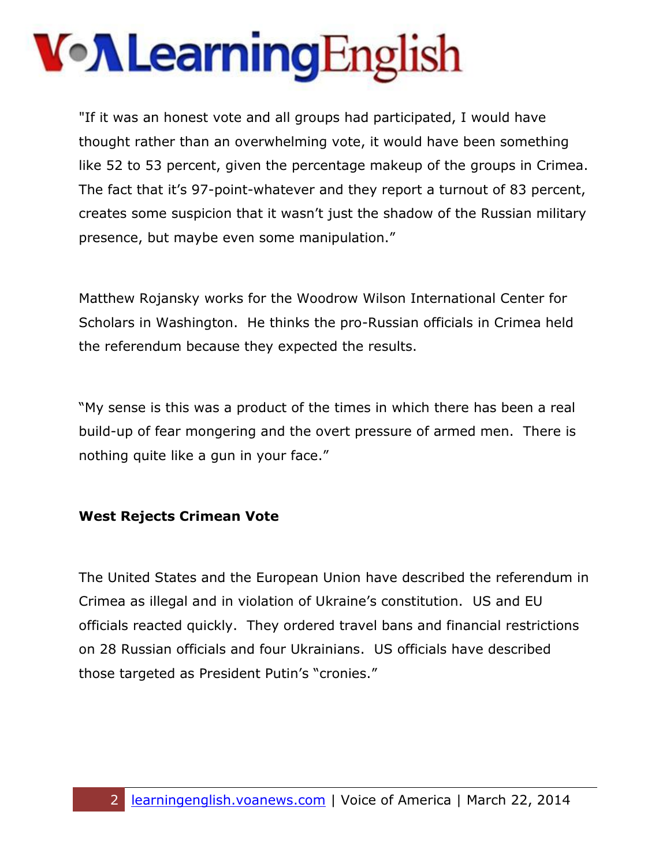# **Von Learning English**

"If it was an honest vote and all groups had participated, I would have thought rather than an overwhelming vote, it would have been something like 52 to 53 percent, given the percentage makeup of the groups in Crimea. The fact that it's 97-point-whatever and they report a turnout of 83 percent, creates some suspicion that it wasn't just the shadow of the Russian military presence, but maybe even some manipulation."

Matthew Rojansky works for the Woodrow Wilson International Center for Scholars in Washington. He thinks the pro-Russian officials in Crimea held the referendum because they expected the results.

"My sense is this was a product of the times in which there has been a real build-up of fear mongering and the overt pressure of armed men. There is nothing quite like a gun in your face."

#### **West Rejects Crimean Vote**

The United States and the European Union have described the referendum in Crimea as illegal and in violation of Ukraine's constitution. US and EU officials reacted quickly. They ordered travel bans and financial restrictions on 28 Russian officials and four Ukrainians. US officials have described those targeted as President Putin's "cronies."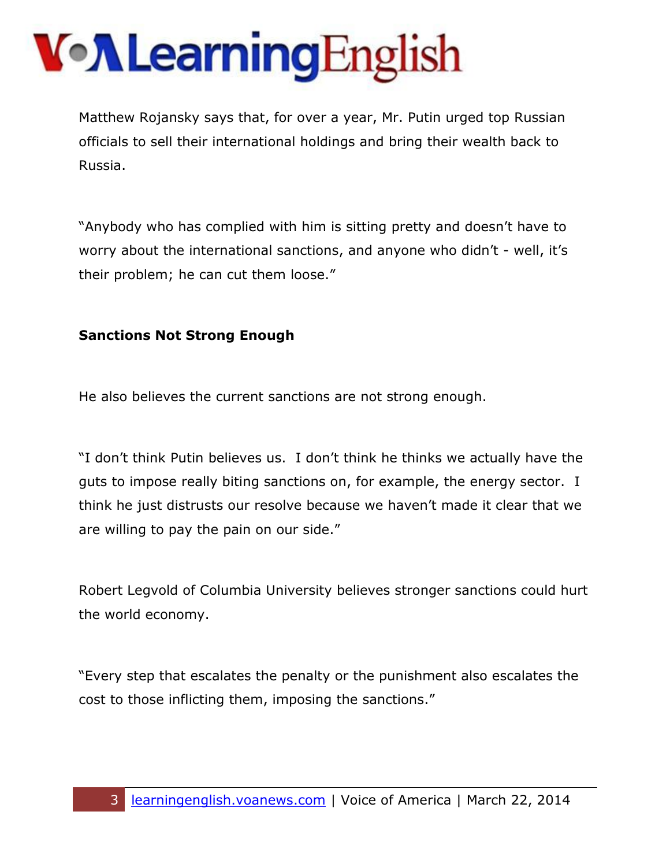# **Von Learning English**

Matthew Rojansky says that, for over a year, Mr. Putin urged top Russian officials to sell their international holdings and bring their wealth back to Russia.

"Anybody who has complied with him is sitting pretty and doesn't have to worry about the international sanctions, and anyone who didn't - well, it's their problem; he can cut them loose."

#### **Sanctions Not Strong Enough**

He also believes the current sanctions are not strong enough.

"I don't think Putin believes us. I don't think he thinks we actually have the guts to impose really biting sanctions on, for example, the energy sector. I think he just distrusts our resolve because we haven't made it clear that we are willing to pay the pain on our side."

Robert Legvold of Columbia University believes stronger sanctions could hurt the world economy.

"Every step that escalates the penalty or the punishment also escalates the cost to those inflicting them, imposing the sanctions."